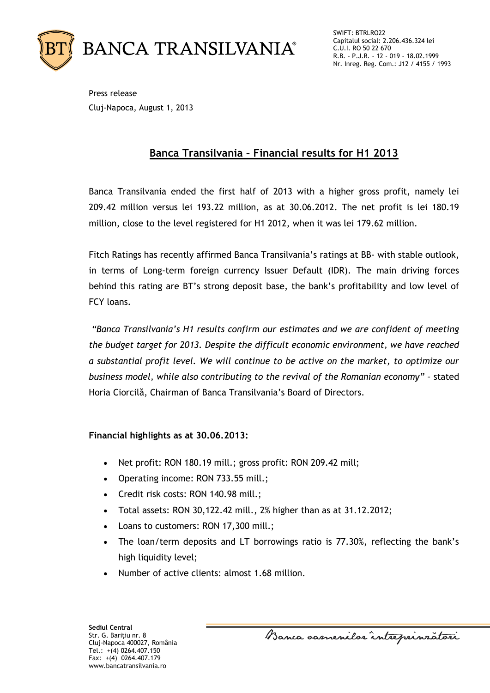

SWIFT: BTRLRO22 Capitalul social: 2.206.436.324 lei C.U.I. RO 50 22 670 R.B. - P.J.R. - 12 - 019 - 18.02.1999 Nr. Inreg. Reg. Com.: J12 / 4155 / 1993

Press release Cluj-Napoca, August 1, 2013

## **Banca Transilvania – Financial results for H1 2013**

Banca Transilvania ended the first half of 2013 with a higher gross profit, namely lei 209.42 million versus lei 193.22 million, as at 30.06.2012. The net profit is lei 180.19 million, close to the level registered for H1 2012, when it was lei 179.62 million.

Fitch Ratings has recently affirmed Banca Transilvania's ratings at BB- with stable outlook, in terms of Long-term foreign currency Issuer Default (IDR). The main driving forces behind this rating are BT's strong deposit base, the bank's profitability and low level of FCY loans.

*"Banca Transilvania's H1 results confirm our estimates and we are confident of meeting the budget target for 2013. Despite the difficult economic environment, we have reached a substantial profit level. We will continue to be active on the market, to optimize our business model, while also contributing to the revival of the Romanian economy" –* stated Horia Ciorcilă, Chairman of Banca Transilvania's Board of Directors.

### **Financial highlights as at 30.06.2013:**

- Net profit: RON 180.19 mill.; gross profit: RON 209.42 mill;
- Operating income: RON 733.55 mill.;
- Credit risk costs: RON 140.98 mill.;
- Total assets: RON 30,122.42 mill., 2% higher than as at 31.12.2012;
- Loans to customers: RON 17,300 mill.;
- The loan/term deposits and LT borrowings ratio is 77.30%, reflecting the bank's high liquidity level;
- Number of active clients: almost 1.68 million.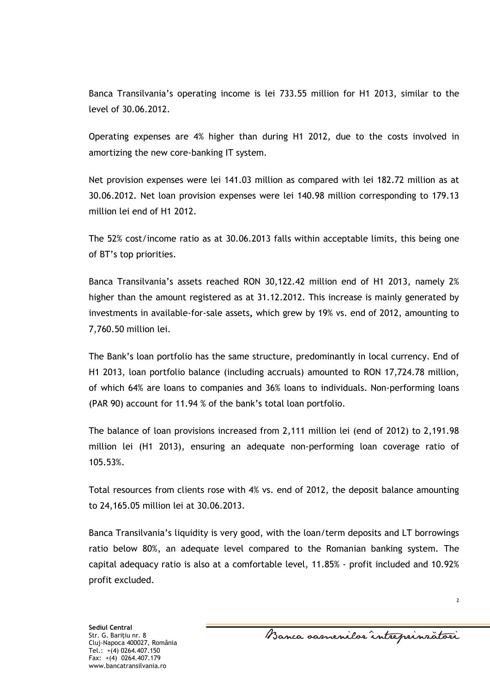Banca Transilvania's operating income is lei 733.55 million for H1 2013, similar to the level of 30.06.2012.

Operating expenses are 4% higher than during H1 2012, due to the costs involved in amortizing the new core-banking IT system.

Net provision expenses were lei 141.03 million as compared with lei 182.72 million as at 30.06.2012. Net loan provision expenses were lei 140.98 million corresponding to 179.13 million lei end of H1 2012.

The 52% cost/income ratio as at 30.06.2013 falls within acceptable limits, this being one of BT's top priorities.

Banca Transilvania's assets reached RON 30,122.42 million end of H1 2013, namely 2% higher than the amount registered as at 31.12.2012. This increase is mainly generated by investments in available-for-sale assets**,** which grew by 19% vs. end of 2012, amounting to 7,760.50 million lei.

The Bank's loan portfolio has the same structure, predominantly in local currency. End of H1 2013, loan portfolio balance (including accruals) amounted to RON 17,724.78 million, of which 64% are loans to companies and 36% loans to individuals. Non-performing loans (PAR 90) account for 11.94 % of the bank's total loan portfolio.

The balance of loan provisions increased from 2,111 million lei (end of 2012) to 2,191.98 million lei (H1 2013), ensuring an adequate non-performing loan coverage ratio of 105.53%.

Total resources from clients rose with 4% vs. end of 2012, the deposit balance amounting to 24,165.05 million lei at 30.06.2013.

Banca Transilvania's liquidity is very good, with the loan/term deposits and LT borrowings ratio below 80%, an adequate level compared to the Romanian banking system. The capital adequacy ratio is also at a comfortable level, 11.85% - profit included and 10.92% profit excluded.

2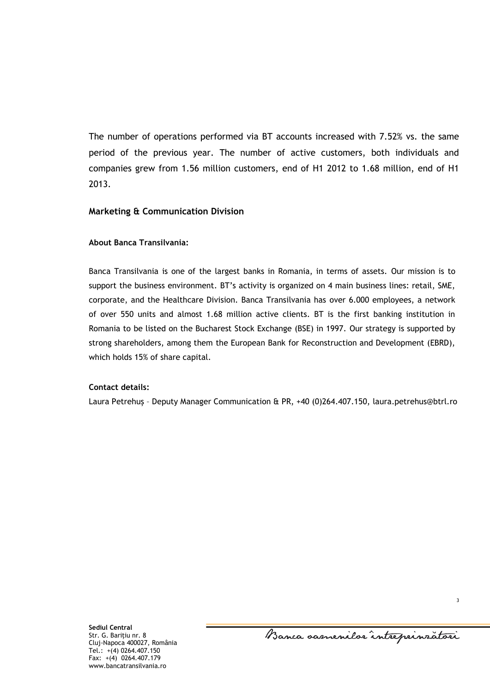The number of operations performed via BT accounts increased with 7.52% vs. the same period of the previous year. The number of active customers, both individuals and companies grew from 1.56 million customers, end of H1 2012 to 1.68 million, end of H1 2013.

#### **Marketing & Communication Division**

#### **About Banca Transilvania:**

Banca Transilvania is one of the largest banks in Romania, in terms of assets. Our mission is to support the business environment. BT's activity is organized on 4 main business lines: retail, SME, corporate, and the Healthcare Division. Banca Transilvania has over 6.000 employees, a network of over 550 units and almost 1.68 million active clients. BT is the first banking institution in Romania to be listed on the Bucharest Stock Exchange (BSE) in 1997. Our strategy is supported by strong shareholders, among them the European Bank for Reconstruction and Development (EBRD), which holds 15% of share capital.

#### **Contact details:**

Laura Petrehuş – Deputy Manager Communication & PR, +40 (0)264.407.150, [laura.petrehus@btrl.ro](mailto:laura.petrehus@btrl.ro)

Banca samenilor intreprinzatori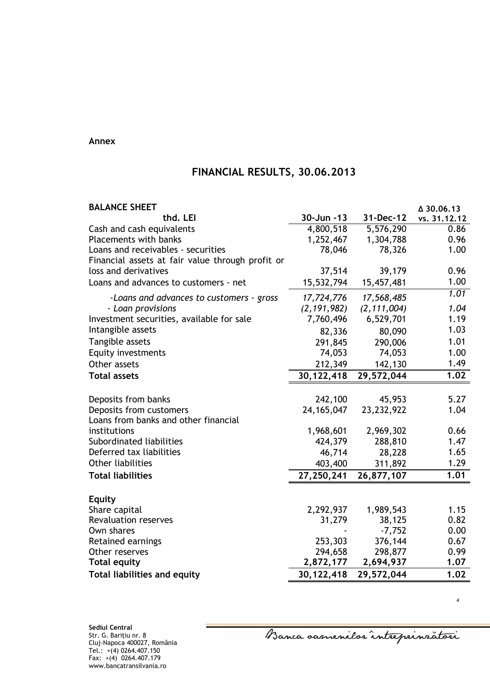#### **Annex**

# **FINANCIAL RESULTS, 30.06.2013**

| <b>BALANCE SHEET</b>                             |                        |               | △ 30.06.13   |
|--------------------------------------------------|------------------------|---------------|--------------|
| thd. LEI                                         | 30-Jun -13             | 31-Dec-12     | vs. 31.12.12 |
| Cash and cash equivalents                        | $\overline{4,800,518}$ | 5,576,290     | 0.86         |
| Placements with banks                            | 1,252,467              | 1,304,788     | 0.96         |
| Loans and receivables - securities               | 78,046                 | 78,326        | 1.00         |
| Financial assets at fair value through profit or |                        |               |              |
| loss and derivatives                             | 37,514                 | 39,179        | 0.96         |
| Loans and advances to customers - net            | 15,532,794             | 15,457,481    | 1.00         |
| -Loans and advances to customers - gross         | 17,724,776             | 17,568,485    | 1.01         |
| - Loan provisions                                | (2, 191, 982)          | (2, 111, 004) | 1.04         |
| Investment securities, available for sale        | 7,760,496              | 6,529,701     | 1.19         |
| Intangible assets                                | 82,336                 | 80,090        | 1.03         |
| Tangible assets                                  | 291,845                | 290,006       | 1.01         |
| <b>Equity investments</b>                        | 74,053                 | 74,053        | 1.00         |
| Other assets                                     | 212,349                | 142,130       | 1.49         |
| <b>Total assets</b>                              | 30,122,418             | 29,572,044    | 1.02         |
|                                                  |                        |               |              |
| Deposits from banks                              | 242,100                | 45,953        | 5.27         |
| Deposits from customers                          | 24, 165, 047           | 23,232,922    | 1.04         |
| Loans from banks and other financial             |                        |               |              |
| institutions                                     | 1,968,601              | 2,969,302     | 0.66         |
| Subordinated liabilities                         | 424,379                | 288,810       | 1.47         |
| Deferred tax liabilities                         | 46,714                 | 28,228        | 1.65         |
| <b>Other liabilities</b>                         | 403,400                | 311,892       | 1.29         |
| <b>Total liabilities</b>                         | 27,250,241             | 26,877,107    | 1.01         |
|                                                  |                        |               |              |
| <b>Equity</b>                                    | 2,292,937              | 1,989,543     | 1.15         |
| Share capital<br><b>Revaluation reserves</b>     | 31,279                 | 38,125        | 0.82         |
| Own shares                                       |                        | $-7,752$      | 0.00         |
| Retained earnings                                | 253,303                | 376,144       | 0.67         |
| Other reserves                                   | 294,658                | 298,877       | 0.99         |
| <b>Total equity</b>                              | 2,872,177              | 2,694,937     | 1.07         |
| <b>Total liabilities and equity</b>              | 30,122,418             | 29,572,044    | 1.02         |

Banca oasnenilor intreprinzatori

4